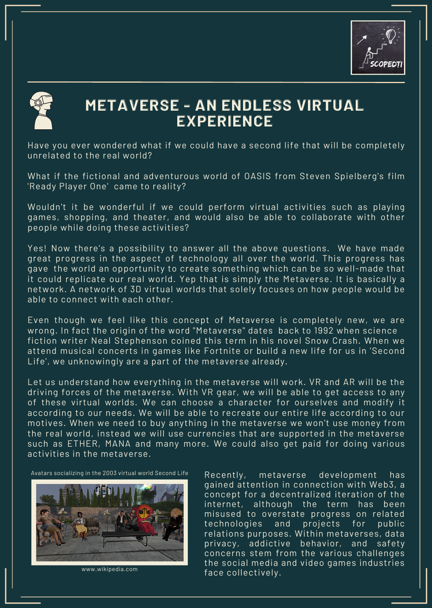



# **METAVERSE - AN ENDLESS VIRTUAL EXPERIENCE**

Have you ever wondered what if we could have a second life that will be completely unrelated to the real world?

What if the fictional and adventurous world of OASIS from Steven Spielberg's film 'Ready Player One' came to reality?

Wouldn't it be wonderful if we could perform virtual activities such as playing games, shopping, and theater, and would also be able to collaborate with other people while doing these activities?

Yes! Now there's a possibility to answer all the above questions. We have made great progress in the aspect of technology all over the world. This progress has gave the world an opportunity to create something which can be so well-made that it could replicate our real world. Yep that is simply the Metaverse. It is basically a network. A network of 3D virtual worlds that solely focuses on how people would be able to connect with each other.

Even though we feel like this concept of Metaverse is completely new, we are wrong. In fact the origin of the word "Metaverse" dates back to 1992 when science fiction writer Neal Stephenson coined this term in his novel Snow Crash. When we attend musical concerts in games like Fortnite or build a new life for us in 'Second Life', we unknowingly are a part of the metaverse already.

Let us understand how everything in the metaverse will work. VR and AR will be the driving forces of the metaverse. With VR gear, we will be able to get access to any of these virtual worlds. We can choose a character for ourselves and modify it according to our needs. We will be able to recreate our entire life according to our motives. When we need to buy anything in the metaverse we won't use money from the real world, instead we will use currencies that are supported in the metaverse such as ETHER, MANA and many more. We could also get paid for doing various activities in the metaverse.

Avatars socializing in the 2003 virtual world Second Life



www.wikipedia.com

Recently, metaverse development has gained attention in connection with Web3, a concept for a decentralized iteration of the internet, although the term has been misused to overstate progress on related technologies and projects for public relations purposes. Within metaverses, data privacy, addictive behavior, and safety concerns stem from the various challenges the social media and video games industries face collectively.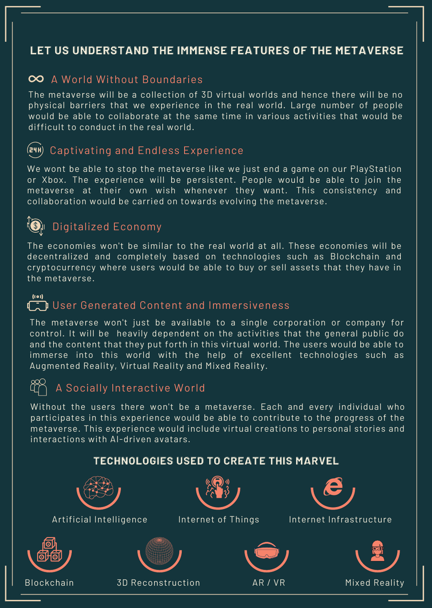# **LET US UNDERSTAND THE IMMENSE FEATURES OF THE METAVERSE**

# $\infty$  A World Without Boundaries

The metaverse will be a collection of 3D virtual worlds and hence there will be no physical barriers that we experience in the real world. Large number of people would be able to collaborate at the same time in various activities that would be difficult to conduct in the real world.

#### $(24H)$ Captivating and Endless Experience

We wont be able to stop the metaverse like we just end a game on our PlayStation or Xbox. The experience will be persistent. People would be able to join the metaverse at their own wish whenever they want. This consistency and collaboration would be carried on towards evolving the metaverse.



# Digitalized Economy

The economies won't be similar to the real world at all. These economies will be decentralized and completely based on technologies such as Blockchain and cryptocurrency where users would be able to buy or sell assets that they have in the metaverse.

#### $(i \circ i)$

# **Th** User Generated Content and Immersiveness

The metaverse won't just be available to a single corporation or company for control. It will be heavily dependent on the activities that the general public do and the content that they put forth in this virtual world. The users would be able to immerse into this world with the help of excellent technologies such as Augmented Reality, Virtual Reality and Mixed Reality.

# A Socially Interactive World

Without the users there won't be a metaverse. Each and every individual who participates in this experience would be able to contribute to the progress of the metaverse. This experience would include virtual creations to personal stories and interactions with AI-driven avatars.

# **TECHNOLOGIES USED TO CREATE THIS MARVEL**

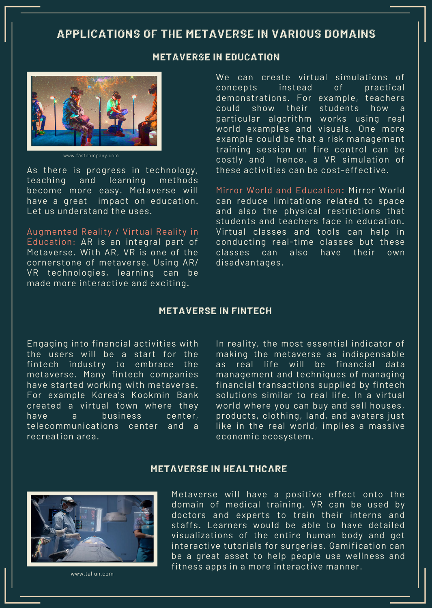# **APPLICATIONS OF THE METAVERSE IN VARIOUS DOMAINS**

#### **METAVERSE IN EDUCATION**



www.fastcompany.com

As there is progress in technology, teaching and learning methods become more easy. Metaverse will have a great impact on education. Let us understand the uses.

Augmented Reality / Virtual Reality in Education: AR is an integral part of Metaverse. With AR, VR is one of the cornerstone of metaverse. Using AR/ VR technologies, learning can be made more interactive and exciting.

We can create virtual simulations of concepts instead of practical demonstrations. For example, teachers could show their students how a particular algorithm works using real world examples and visuals. One more example could be that a risk management training session on fire control can be costly and hence, a VR simulation of these activities can be cost-effective.

Mirror World and Education: Mirror World can reduce limitations related to space and also the physical restrictions that students and teachers face in education. Virtual classes and tools can help in conducting real-time classes but these classes can also have their own disadvantages.

#### **METAVERSE IN FINTECH**

Engaging into financial activities with the users will be a start for the fintech industry to embrace the metaverse. Many fintech companies have started working with metaverse. For example Korea's Kookmin Bank created a virtual town where they have a business center, telecommunications center and a recreation area.

In reality, the most essential indicator of making the metaverse as indispensable as real life will be financial data management and techniques of managing financial transactions supplied by fintech solutions similar to real life. In a virtual world where you can buy and sell houses, products, clothing, land, and avatars just like in the real world, implies a massive economic ecosystem.

#### **METAVERSE IN HEALTHCARE**



www.taliun.com

Metaverse will have a positive effect onto the domain of medical training. VR can be used by doctors and experts to train their interns and staffs. Learners would be able to have detailed visualizations of the entire human body and get interactive tutorials for surgeries. Gamification can be a great asset to help people use wellness and fitness apps in a more interactive manner.